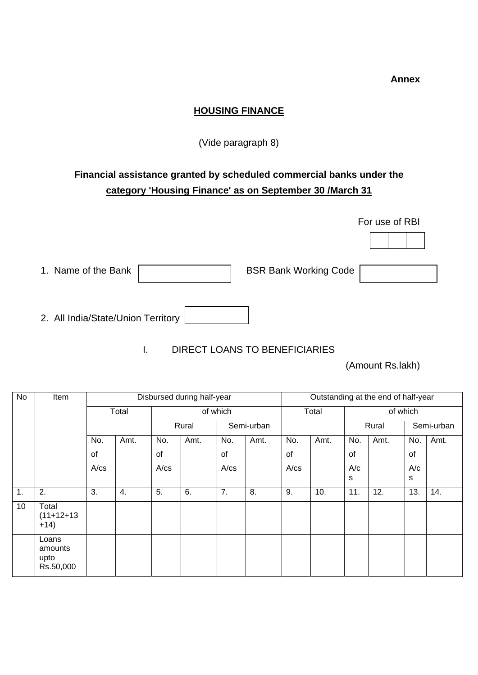**Annex** 

## **HOUSING FINANCE**

(Vide paragraph 8)

## **Financial assistance granted by scheduled commercial banks under the category 'Housing Finance' as on September 30 /March 31**

|                                    |                              | For use of RBI |
|------------------------------------|------------------------------|----------------|
|                                    |                              |                |
| 1. Name of the Bank                | <b>BSR Bank Working Code</b> |                |
| 2. All India/State/Union Territory |                              |                |

I. DIRECT LOANS TO BENEFICIARIES

(Amount Rs.lakh)

| No | Item                                  | Disbursed during half-year |      |       |          |            |      | Outstanding at the end of half-year |      |          |      |            |      |  |
|----|---------------------------------------|----------------------------|------|-------|----------|------------|------|-------------------------------------|------|----------|------|------------|------|--|
|    |                                       | Total                      |      |       | of which |            |      | Total                               |      | of which |      |            |      |  |
|    |                                       |                            |      | Rural |          | Semi-urban |      |                                     |      | Rural    |      | Semi-urban |      |  |
|    |                                       | No.                        | Amt. | No.   | Amt.     | No.        | Amt. | No.                                 | Amt. | No.      | Amt. | No.        | Amt. |  |
|    |                                       | of                         |      | of    |          | of         |      | οf                                  |      | of       |      | of         |      |  |
|    |                                       | A/cs                       |      | A/cs  |          | A/cs       |      | A/cs                                |      | A/c      |      | A/c        |      |  |
|    |                                       |                            |      |       |          |            |      |                                     |      | s        |      | s          |      |  |
| 1. | 2.                                    | 3.                         | 4.   | 5.    | 6.       | 7.         | 8.   | 9.                                  | 10.  | 11.      | 12.  | 13.        | 14.  |  |
| 10 | Total<br>$(11+12+13)$<br>$+14)$       |                            |      |       |          |            |      |                                     |      |          |      |            |      |  |
|    | Loans<br>amounts<br>upto<br>Rs.50,000 |                            |      |       |          |            |      |                                     |      |          |      |            |      |  |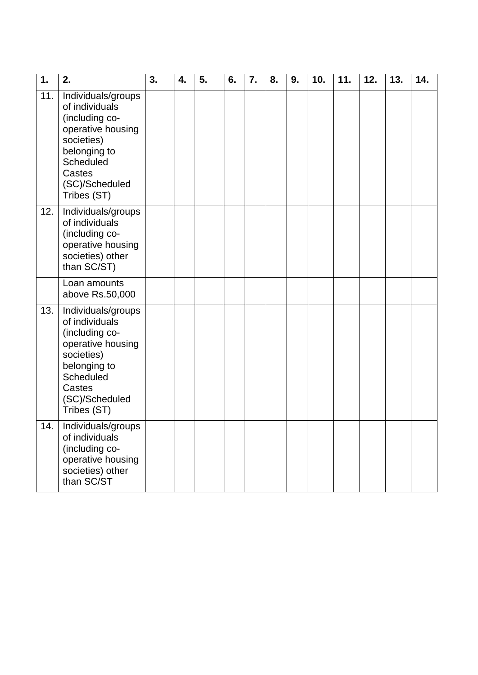| 1.  | 2.                                                                                                                                                                | 3. | 4. | 5. | 6. | 7. | 8. | 9. | 10. | 11. | 12. | 13. | 14. |
|-----|-------------------------------------------------------------------------------------------------------------------------------------------------------------------|----|----|----|----|----|----|----|-----|-----|-----|-----|-----|
| 11. | Individuals/groups<br>of individuals<br>(including co-<br>operative housing<br>societies)<br>belonging to<br>Scheduled<br>Castes<br>(SC)/Scheduled<br>Tribes (ST) |    |    |    |    |    |    |    |     |     |     |     |     |
| 12. | Individuals/groups<br>of individuals<br>(including co-<br>operative housing<br>societies) other<br>than SC/ST)                                                    |    |    |    |    |    |    |    |     |     |     |     |     |
|     | Loan amounts<br>above Rs.50,000                                                                                                                                   |    |    |    |    |    |    |    |     |     |     |     |     |
| 13. | Individuals/groups<br>of individuals<br>(including co-<br>operative housing<br>societies)<br>belonging to<br>Scheduled<br>Castes<br>(SC)/Scheduled<br>Tribes (ST) |    |    |    |    |    |    |    |     |     |     |     |     |
| 14. | Individuals/groups<br>of individuals<br>(including co-<br>operative housing<br>societies) other<br>than SC/ST                                                     |    |    |    |    |    |    |    |     |     |     |     |     |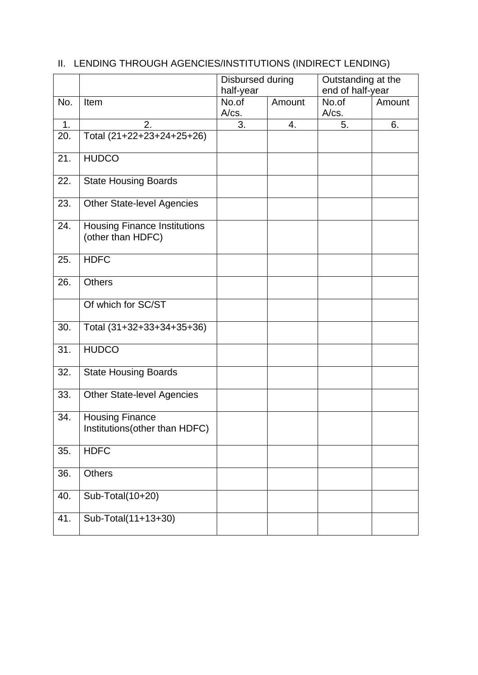|     |                                                          | Disbursed during |        | Outstanding at the |        |  |
|-----|----------------------------------------------------------|------------------|--------|--------------------|--------|--|
|     |                                                          | half-year        |        | end of half-year   |        |  |
| No. | Item                                                     | No.of<br>A/cs.   | Amount | No.of<br>$A/cs$ .  | Amount |  |
| 1.  | 2.                                                       | 3.               | 4.     | 5.                 | 6.     |  |
| 20. | Total (21+22+23+24+25+26)                                |                  |        |                    |        |  |
| 21. | <b>HUDCO</b>                                             |                  |        |                    |        |  |
| 22. | <b>State Housing Boards</b>                              |                  |        |                    |        |  |
| 23. | <b>Other State-level Agencies</b>                        |                  |        |                    |        |  |
| 24. | <b>Housing Finance Institutions</b><br>(other than HDFC) |                  |        |                    |        |  |
| 25. | <b>HDFC</b>                                              |                  |        |                    |        |  |
| 26. | <b>Others</b>                                            |                  |        |                    |        |  |
|     | Of which for SC/ST                                       |                  |        |                    |        |  |
| 30. | Total (31+32+33+34+35+36)                                |                  |        |                    |        |  |
| 31. | <b>HUDCO</b>                                             |                  |        |                    |        |  |
| 32. | <b>State Housing Boards</b>                              |                  |        |                    |        |  |
| 33. | <b>Other State-level Agencies</b>                        |                  |        |                    |        |  |
| 34. | <b>Housing Finance</b><br>Institutions (other than HDFC) |                  |        |                    |        |  |
| 35. | <b>HDFC</b>                                              |                  |        |                    |        |  |
| 36. | <b>Others</b>                                            |                  |        |                    |        |  |
| 40. | Sub-Total(10+20)                                         |                  |        |                    |        |  |
| 41. | Sub-Total(11+13+30)                                      |                  |        |                    |        |  |

## II. LENDING THROUGH AGENCIES/INSTITUTIONS (INDIRECT LENDING)